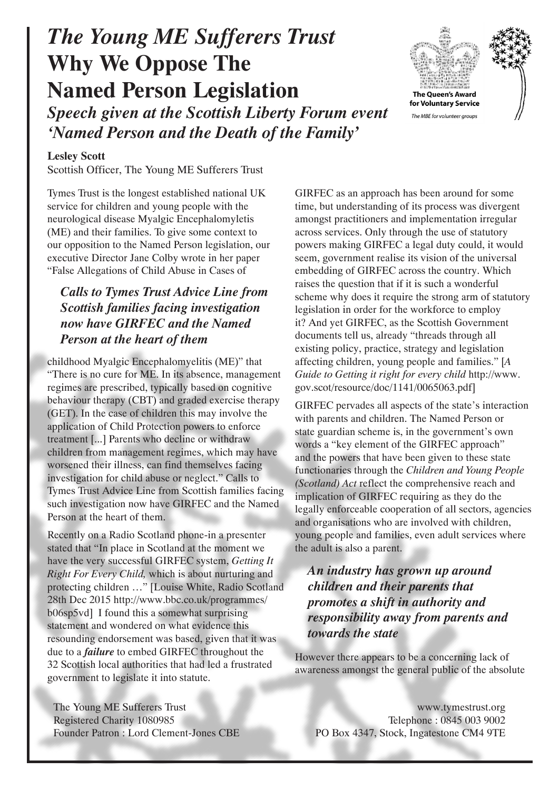# *The Young ME Sufferers Trust* **Why We Oppose The Named Person Legislation** *Speech given at the Scottish Liberty Forum event*

*'Named Person and the Death of the Family'*

#### **Lesley Scott**

Scottish Officer, The Young ME Sufferers Trust

Tymes Trust is the longest established national UK service for children and young people with the neurological disease Myalgic Encephalomyletis (ME) and their families. To give some context to our opposition to the Named Person legislation, our executive Director Jane Colby wrote in her paper "False Allegations of Child Abuse in Cases of

# *Calls to Tymes Trust Advice Line from Scottish families facing investigation now have GIRFEC and the Named Person at the heart of them*

childhood Myalgic Encephalomyelitis (ME)" that "There is no cure for ME. In its absence, management regimes are prescribed, typically based on cognitive behaviour therapy (CBT) and graded exercise therapy (GET). In the case of children this may involve the application of Child Protection powers to enforce treatment [...] Parents who decline or withdraw children from management regimes, which may have worsened their illness, can find themselves facing investigation for child abuse or neglect." Calls to Tymes Trust Advice Line from Scottish families facing such investigation now have GIRFEC and the Named Person at the heart of them.

Recently on a Radio Scotland phone-in a presenter stated that "In place in Scotland at the moment we have the very successful GIRFEC system, *Getting It Right For Every Child,* which is about nurturing and protecting children …" [Louise White, Radio Scotland 28th Dec 2015 http://www.bbc.co.uk/programmes/ b06sp5vd] I found this a somewhat surprising statement and wondered on what evidence this resounding endorsement was based, given that it was due to a *failure* to embed GIRFEC throughout the 32 Scottish local authorities that had led a frustrated government to legislate it into statute.

The Young ME Sufferers Trust Registered Charity 1080985 Founder Patron : Lord Clement-Jones CBE GIRFEC as an approach has been around for some time, but understanding of its process was divergent amongst practitioners and implementation irregular across services. Only through the use of statutory powers making GIRFEC a legal duty could, it would seem, government realise its vision of the universal embedding of GIRFEC across the country. Which raises the question that if it is such a wonderful scheme why does it require the strong arm of statutory legislation in order for the workforce to employ it? And yet GIRFEC, as the Scottish Government documents tell us, already "threads through all existing policy, practice, strategy and legislation affecting children, young people and families." [*A Guide to Getting it right for every child* http://www. gov.scot/resource/doc/1141/0065063.pdf]

GIRFEC pervades all aspects of the state's interaction with parents and children. The Named Person or state guardian scheme is, in the government's own words a "key element of the GIRFEC approach" and the powers that have been given to these state functionaries through the *Children and Young People (Scotland) Act* reflect the comprehensive reach and implication of GIRFEC requiring as they do the legally enforceable cooperation of all sectors, agencies and organisations who are involved with children, young people and families, even adult services where the adult is also a parent.

## *An industry has grown up around children and their parents that promotes a shift in authority and responsibility away from parents and towards the state*

However there appears to be a concerning lack of awareness amongst the general public of the absolute

www.tymestrust.org Telephone : 0845 003 9002 PO Box 4347, Stock, Ingatestone CM4 9TE

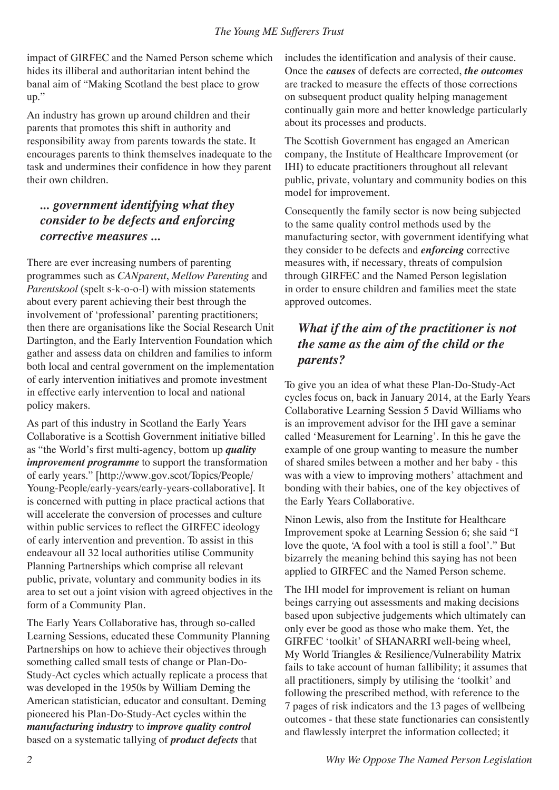impact of GIRFEC and the Named Person scheme which hides its illiberal and authoritarian intent behind the banal aim of "Making Scotland the best place to grow up."

An industry has grown up around children and their parents that promotes this shift in authority and responsibility away from parents towards the state. It encourages parents to think themselves inadequate to the task and undermines their confidence in how they parent their own children.

### *... government identifying what they consider to be defects and enforcing corrective measures ...*

There are ever increasing numbers of parenting programmes such as *CANparent*, *Mellow Parenting* and *Parentskool* (spelt s-k-o-o-l) with mission statements about every parent achieving their best through the involvement of 'professional' parenting practitioners; then there are organisations like the Social Research Unit Dartington, and the Early Intervention Foundation which gather and assess data on children and families to inform both local and central government on the implementation of early intervention initiatives and promote investment in effective early intervention to local and national policy makers.

As part of this industry in Scotland the Early Years Collaborative is a Scottish Government initiative billed as "the World's first multi-agency, bottom up *quality improvement programme* to support the transformation of early years." [http://www.gov.scot/Topics/People/ Young-People/early-years/early-years-collaborative]. It is concerned with putting in place practical actions that will accelerate the conversion of processes and culture within public services to reflect the GIRFEC ideology of early intervention and prevention. To assist in this endeavour all 32 local authorities utilise Community Planning Partnerships which comprise all relevant public, private, voluntary and community bodies in its area to set out a joint vision with agreed objectives in the form of a Community Plan.

The Early Years Collaborative has, through so-called Learning Sessions, educated these Community Planning Partnerships on how to achieve their objectives through something called small tests of change or Plan-Do-Study-Act cycles which actually replicate a process that was developed in the 1950s by William Deming the American statistician, educator and consultant. Deming pioneered his Plan-Do-Study-Act cycles within the *manufacturing industry* to *improve quality control*  based on a systematic tallying of *product defects* that

includes the identification and analysis of their cause. Once the *causes* of defects are corrected, *the outcomes* are tracked to measure the effects of those corrections on subsequent product quality helping management continually gain more and better knowledge particularly about its processes and products.

The Scottish Government has engaged an American company, the Institute of Healthcare Improvement (or IHI) to educate practitioners throughout all relevant public, private, voluntary and community bodies on this model for improvement.

Consequently the family sector is now being subjected to the same quality control methods used by the manufacturing sector, with government identifying what they consider to be defects and *enforcing* corrective measures with, if necessary, threats of compulsion through GIRFEC and the Named Person legislation in order to ensure children and families meet the state approved outcomes.

# *What if the aim of the practitioner is not the same as the aim of the child or the parents?*

To give you an idea of what these Plan-Do-Study-Act cycles focus on, back in January 2014, at the Early Years Collaborative Learning Session 5 David Williams who is an improvement advisor for the IHI gave a seminar called 'Measurement for Learning'. In this he gave the example of one group wanting to measure the number of shared smiles between a mother and her baby - this was with a view to improving mothers' attachment and bonding with their babies, one of the key objectives of the Early Years Collaborative.

Ninon Lewis, also from the Institute for Healthcare Improvement spoke at Learning Session 6; she said "I love the quote, 'A fool with a tool is still a fool'." But bizarrely the meaning behind this saying has not been applied to GIRFEC and the Named Person scheme.

The IHI model for improvement is reliant on human beings carrying out assessments and making decisions based upon subjective judgements which ultimately can only ever be good as those who make them. Yet, the GIRFEC 'toolkit' of SHANARRI well-being wheel, My World Triangles & Resilience/Vulnerability Matrix fails to take account of human fallibility; it assumes that all practitioners, simply by utilising the 'toolkit' and following the prescribed method, with reference to the 7 pages of risk indicators and the 13 pages of wellbeing outcomes - that these state functionaries can consistently and flawlessly interpret the information collected; it